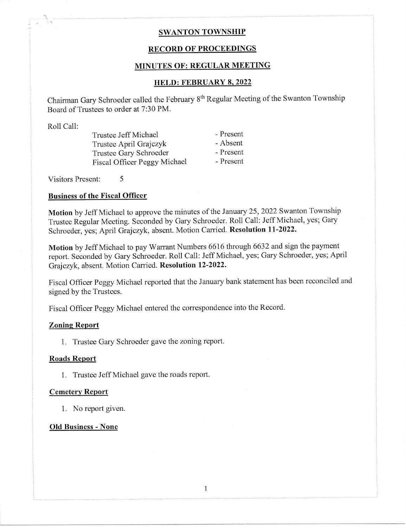# SWANTON TOWNSHIP

# RECORD OF PROCEEDINGS

# MINUTES OF: REGULAR MEETING

# HELD: FEBRUARY 8.2022

Chairman Gary Schroeder called the February 8<sup>th</sup> Regular Meeting of the Swanton Township Board of Trustees to order at 7:30 PM.

Roll Call:

Trustee Jeff Michael Trustee April Grajczyk Trustee Gary Schroeder Fiscal Officer Peggy Michael - Present - Absent - Prosent - Present

Visitors Present: 5

## Business of the Fiscal Officcr

Motion by Jeff Michael to approve the minutes of the January 25, 2022 Swanton Township Trustee Regular Meeting. Seconded by Gary Schroeder. Roll Call: Jeff Michael, yes; Gary Schroeder, yes; April Grajczyk, absent. Motion Carried. Resolution ll-2022.

Motion by Jeff Michael to pay Warrant Numbers 6616 through 6632 and sign the payment report. Seconded by Gary Schroeder. Roll Call: Jeff Michael, yes; Gary Schroeder, yes; April Grajczyk, absent. Motion Carried. Resolution 12-2022-

Fiscal Officer Peggy Michael reported that the January bank statement has been reconciled and signed by the Trustees.

Fiscal Officer Peggy Michael entered the correspondence into the Record.

#### Zoning Report

1. Trustee Gary Schroeder gave the zoning report.

# Roads Report

1. Trustee Jeff Michael gave the roads report.

#### Cemetery Report

1. No report given.

#### Old Business - None